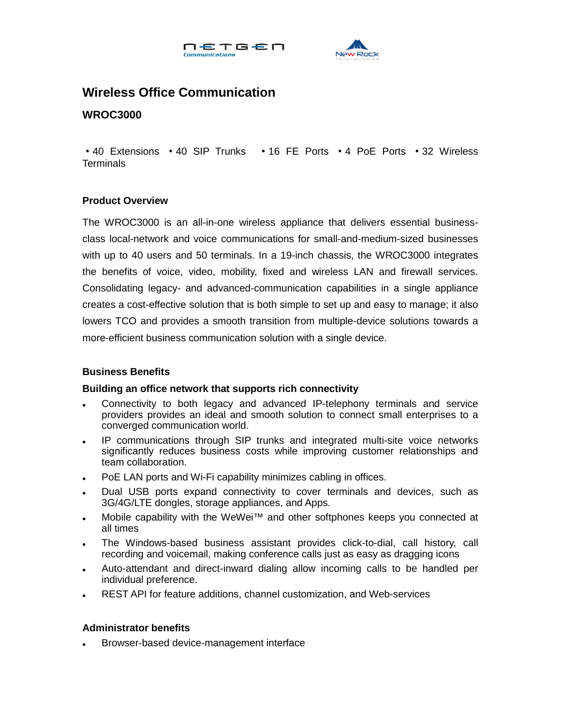



# **Wireless Office Communication**

## **WROC3000**

·40 Extensions ·40 SIP Trunks ·16 FE Ports ·4 PoE Ports ·32 Wireless **Terminals** 

#### **Product Overview**

The WROC3000 is an all-in-one wireless appliance that delivers essential businessclass local-network and voice communications for small-and-medium-sized businesses with up to 40 users and 50 terminals. In a 19-inch chassis, the WROC3000 integrates the benefits of voice, video, mobility, fixed and wireless LAN and firewall services. Consolidating legacy- and advanced-communication capabilities in a single appliance creates a cost-effective solution that is both simple to set up and easy to manage; it also lowers TCO and provides a smooth transition from multiple-device solutions towards a more-efficient business communication solution with a single device.

## **Business Benefits**

#### **Building an office network that supports rich connectivity**

- Connectivity to both legacy and advanced IP-telephony terminals and service providers provides an ideal and smooth solution to connect small enterprises to a converged communication world.
- IP communications through SIP trunks and integrated multi-site voice networks significantly reduces business costs while improving customer relationships and team collaboration.
- PoE LAN ports and Wi-Fi capability minimizes cabling in offices.
- Dual USB ports expand connectivity to cover terminals and devices, such as 3G/4G/LTE dongles, storage appliances, and Apps.
- Mobile capability with the WeWei™ and other softphones keeps you connected at all times
- The Windows-based business assistant provides click-to-dial, call history, call recording and voicemail, making conference calls just as easy as dragging icons
- Auto-attendant and direct-inward dialing allow incoming calls to be handled per individual preference.
- REST API for feature additions, channel customization, and Web-services

#### **Administrator benefits**

Browser-based device-management interface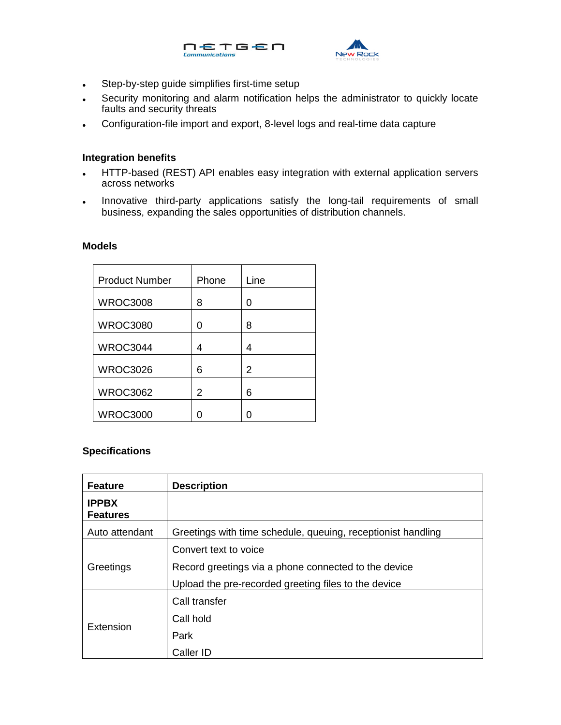



- Step-by-step guide simplifies first-time setup
- Security monitoring and alarm notification helps the administrator to quickly locate faults and security threats
- Configuration-file import and export, 8-level logs and real-time data capture

#### **Integration benefits**

- HTTP-based (REST) API enables easy integration with external application servers across networks
- . Innovative third-party applications satisfy the long-tail requirements of small business, expanding the sales opportunities of distribution channels.

## **Models**

| <b>Product Number</b> | Phone | Line |
|-----------------------|-------|------|
| <b>WROC3008</b>       | 8     | 0    |
| <b>WROC3080</b>       | O     | 8    |
| <b>WROC3044</b>       | 4     | 4    |
| <b>WROC3026</b>       | 6     | 2    |
| <b>WROC3062</b>       | 2     | 6    |
| <b>WROC3000</b>       |       | ∩    |

## **Specifications**

| <b>Feature</b>                  | <b>Description</b>                                           |
|---------------------------------|--------------------------------------------------------------|
| <b>IPPBX</b><br><b>Features</b> |                                                              |
| Auto attendant                  | Greetings with time schedule, queuing, receptionist handling |
| Greetings                       | Convert text to voice                                        |
|                                 | Record greetings via a phone connected to the device         |
|                                 | Upload the pre-recorded greeting files to the device         |
| Extension                       | Call transfer                                                |
|                                 | Call hold                                                    |
|                                 | Park                                                         |
|                                 | Caller ID                                                    |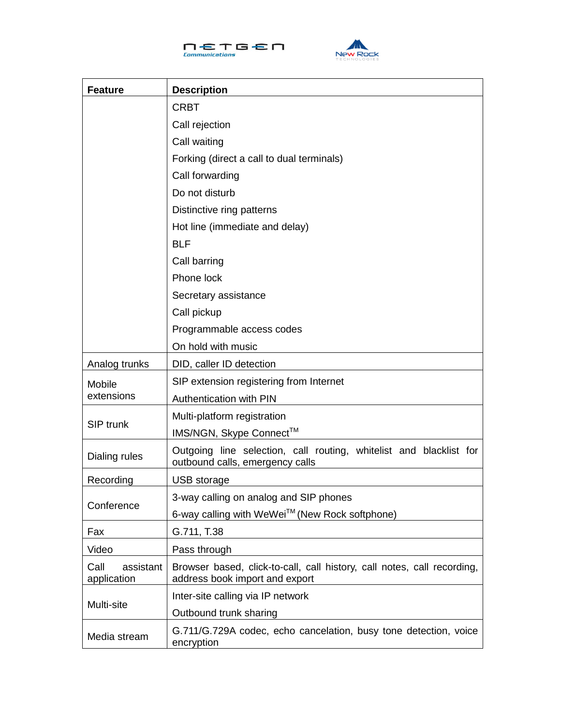



| <b>Feature</b>                   | <b>Description</b>                                                                                        |  |
|----------------------------------|-----------------------------------------------------------------------------------------------------------|--|
|                                  | <b>CRBT</b>                                                                                               |  |
|                                  | Call rejection                                                                                            |  |
|                                  | Call waiting                                                                                              |  |
|                                  | Forking (direct a call to dual terminals)                                                                 |  |
|                                  | Call forwarding                                                                                           |  |
|                                  | Do not disturb                                                                                            |  |
|                                  | Distinctive ring patterns                                                                                 |  |
|                                  | Hot line (immediate and delay)                                                                            |  |
|                                  | <b>BLF</b>                                                                                                |  |
|                                  | Call barring                                                                                              |  |
|                                  | Phone lock                                                                                                |  |
|                                  | Secretary assistance                                                                                      |  |
|                                  | Call pickup                                                                                               |  |
|                                  | Programmable access codes                                                                                 |  |
|                                  | On hold with music                                                                                        |  |
| Analog trunks                    | DID, caller ID detection                                                                                  |  |
| Mobile                           | SIP extension registering from Internet                                                                   |  |
| extensions                       | Authentication with PIN                                                                                   |  |
| SIP trunk                        | Multi-platform registration                                                                               |  |
|                                  | IMS/NGN, Skype Connect™                                                                                   |  |
| Dialing rules                    | Outgoing line selection, call routing, whitelist and blacklist for<br>outbound calls, emergency calls     |  |
| Recording                        | USB storage                                                                                               |  |
| Conference                       | 3-way calling on analog and SIP phones                                                                    |  |
|                                  | 6-way calling with WeWei™ (New Rock softphone)                                                            |  |
| Fax                              | G.711, T.38                                                                                               |  |
| Video                            | Pass through                                                                                              |  |
| Call<br>assistant<br>application | Browser based, click-to-call, call history, call notes, call recording,<br>address book import and export |  |
| Multi-site                       | Inter-site calling via IP network                                                                         |  |
|                                  | Outbound trunk sharing                                                                                    |  |
| Media stream                     | G.711/G.729A codec, echo cancelation, busy tone detection, voice<br>encryption                            |  |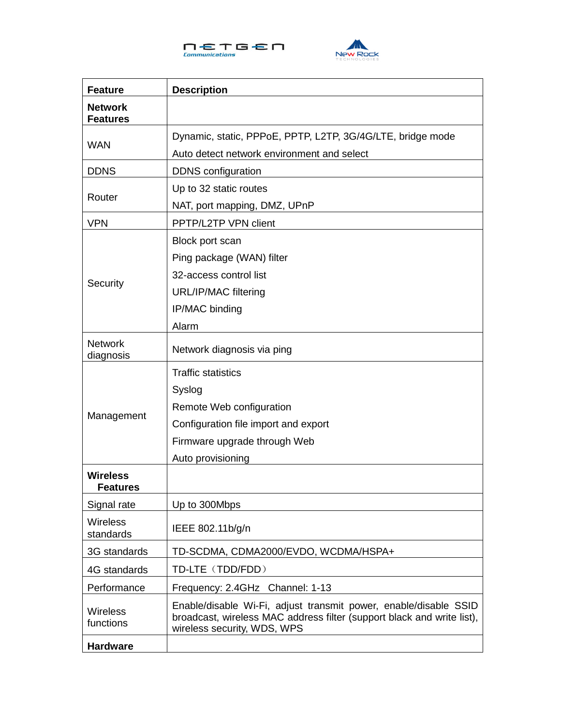



| <b>Feature</b>                    | <b>Description</b>                                                                                                                                                        |
|-----------------------------------|---------------------------------------------------------------------------------------------------------------------------------------------------------------------------|
| <b>Network</b><br><b>Features</b> |                                                                                                                                                                           |
| <b>WAN</b>                        | Dynamic, static, PPPoE, PPTP, L2TP, 3G/4G/LTE, bridge mode                                                                                                                |
|                                   | Auto detect network environment and select                                                                                                                                |
| <b>DDNS</b>                       | <b>DDNS</b> configuration                                                                                                                                                 |
| Router                            | Up to 32 static routes                                                                                                                                                    |
|                                   | NAT, port mapping, DMZ, UPnP                                                                                                                                              |
| <b>VPN</b>                        | PPTP/L2TP VPN client                                                                                                                                                      |
|                                   | Block port scan                                                                                                                                                           |
|                                   | Ping package (WAN) filter                                                                                                                                                 |
|                                   | 32-access control list                                                                                                                                                    |
| Security                          | <b>URL/IP/MAC filtering</b>                                                                                                                                               |
|                                   | IP/MAC binding                                                                                                                                                            |
|                                   | Alarm                                                                                                                                                                     |
| <b>Network</b><br>diagnosis       | Network diagnosis via ping                                                                                                                                                |
|                                   | <b>Traffic statistics</b>                                                                                                                                                 |
|                                   | Syslog                                                                                                                                                                    |
|                                   | Remote Web configuration                                                                                                                                                  |
| Management                        | Configuration file import and export                                                                                                                                      |
|                                   | Firmware upgrade through Web                                                                                                                                              |
|                                   | Auto provisioning                                                                                                                                                         |
| <b>Wireless</b><br>Features       |                                                                                                                                                                           |
| Signal rate                       | Up to 300Mbps                                                                                                                                                             |
| <b>Wireless</b><br>standards      | IEEE 802.11b/g/n                                                                                                                                                          |
| 3G standards                      | TD-SCDMA, CDMA2000/EVDO, WCDMA/HSPA+                                                                                                                                      |
| 4G standards                      | TD-LTE (TDD/FDD)                                                                                                                                                          |
| Performance                       | Frequency: 2.4GHz Channel: 1-13                                                                                                                                           |
| <b>Wireless</b><br>functions      | Enable/disable Wi-Fi, adjust transmit power, enable/disable SSID<br>broadcast, wireless MAC address filter (support black and write list),<br>wireless security, WDS, WPS |
| <b>Hardware</b>                   |                                                                                                                                                                           |